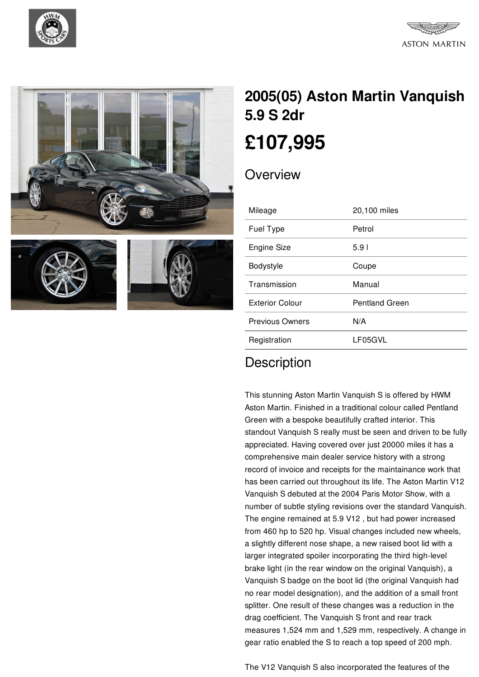









## **2005(05) Aston Martin [Vanquish](/pre-owned-cars/pdf/) 5.9 S 2dr [£107,995](/pre-owned-cars/pdf/)**

## **Overview**

| Mileage                | 20,100 miles          |
|------------------------|-----------------------|
| Fuel Type              | Petrol                |
| <b>Engine Size</b>     | 5.91                  |
| Bodystyle              | Coupe                 |
| Transmission           | Manual                |
| <b>Exterior Colour</b> | <b>Pentland Green</b> |
| <b>Previous Owners</b> | N/A                   |
| Registration           | LF05GVL               |
|                        |                       |

## **Description**

This stunning Aston Martin Vanquish S is offered by HWM Aston Martin. Finished in a traditional colour called Pentland Green with a bespoke beautifully crafted interior. This standout Vanquish S really must be seen and driven to be fully appreciated. Having covered over just 20000 miles it has a comprehensive main dealer service history with a strong record of invoice and receipts for the maintainance work that has been carried out throughout its life. The Aston Martin V12 Vanquish S debuted at the 2004 Paris Motor Show, with a number of subtle styling revisions over the standard Vanquish. The engine remained at 5.9 V12 , but had power increased from 460 hp to 520 hp. Visual changes included new wheels, a slightly different nose shape, a new raised boot lid with a larger integrated spoiler incorporating the third high-level brake light (in the rear window on the original Vanquish), a Vanquish S badge on the boot lid (the original Vanquish had no rear model designation), and the addition of a small front splitter. One result of these changes was a reduction in the drag coefficient. The Vanquish S front and rear track measures 1,524 mm and 1,529 mm, respectively. A change in gear ratio enabled the S to reach a top speed of 200 mph.

The V12 Vanquish S also incorporated the features of the